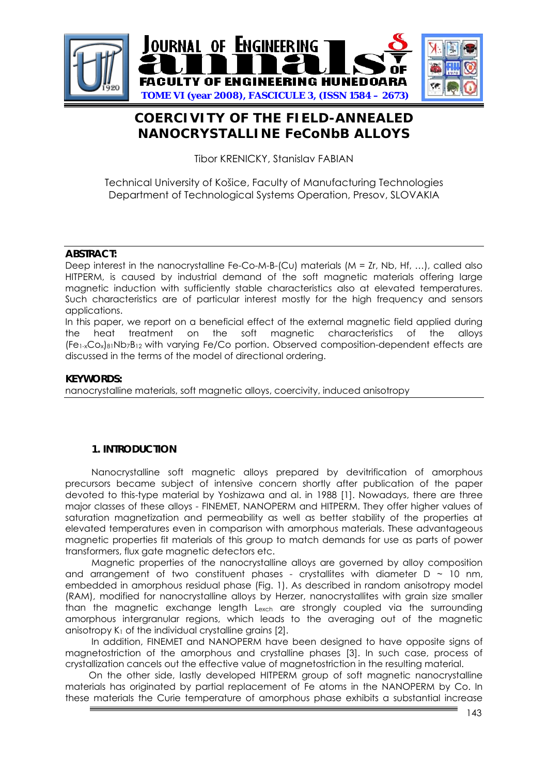

# **COERCIVITY OF THE FIELD-ANNEALED NANOCRYSTALLINE FeCoNbB ALLOYS**

Tibor KRENICKY, Stanislav FABIAN

Technical University of Košice, Faculty of Manufacturing Technologies Department of Technological Systems Operation, Presov, SLOVAKIA

### **ABSTRACT:**

Deep interest in the nanocrystalline Fe-Co-M-B-(Cu) materials (M = Zr, Nb, Hf, ...), called also HITPERM, is caused by industrial demand of the soft magnetic materials offering large magnetic induction with sufficiently stable characteristics also at elevated temperatures. Such characteristics are of particular interest mostly for the high frequency and sensors applications.

In this paper, we report on a beneficial effect of the external magnetic field applied during the heat treatment on the soft magnetic characteristics of the alloys  $(Fe_{1-x}Co_{x})_{81}Nb_{7}B_{12}$  with varying Fe/Co portion. Observed composition-dependent effects are discussed in the terms of the model of directional ordering.

### **KEYWORDS:**

nanocrystalline materials, soft magnetic alloys, coercivity, induced anisotropy

### **1. INTRODUCTION**

 Nanocrystalline soft magnetic alloys prepared by devitrification of amorphous precursors became subject of intensive concern shortly after publication of the paper devoted to this-type material by Yoshizawa and al. in 1988 [1]. Nowadays, there are three major classes of these alloys - FINEMET, NANOPERM and HITPERM. They offer higher values of saturation magnetization and permeability as well as better stability of the properties at elevated temperatures even in comparison with amorphous materials. These advantageous magnetic properties fit materials of this group to match demands for use as parts of power transformers, flux gate magnetic detectors etc.

 Magnetic properties of the nanocrystalline alloys are governed by alloy composition and arrangement of two constituent phases - crystallites with diameter  $D \sim 10$  nm, embedded in amorphous residual phase (Fig. 1). As described in random anisotropy model (RAM), modified for nanocrystalline alloys by Herzer, nanocrystallites with grain size smaller than the magnetic exchange length Lexch are strongly coupled via the surrounding amorphous intergranular regions, which leads to the averaging out of the magnetic anisotropy  $K_1$  of the individual crystalline grains [2].

 In addition, FINEMET and NANOPERM have been designed to have opposite signs of magnetostriction of the amorphous and crystalline phases [3]. In such case, process of crystallization cancels out the effective value of magnetostriction in the resulting material.

On the other side, lastly developed HITPERM group of soft magnetic nanocrystalline materials has originated by partial replacement of Fe atoms in the NANOPERM by Co. In these materials the Curie temperature of amorphous phase exhibits a substantial increase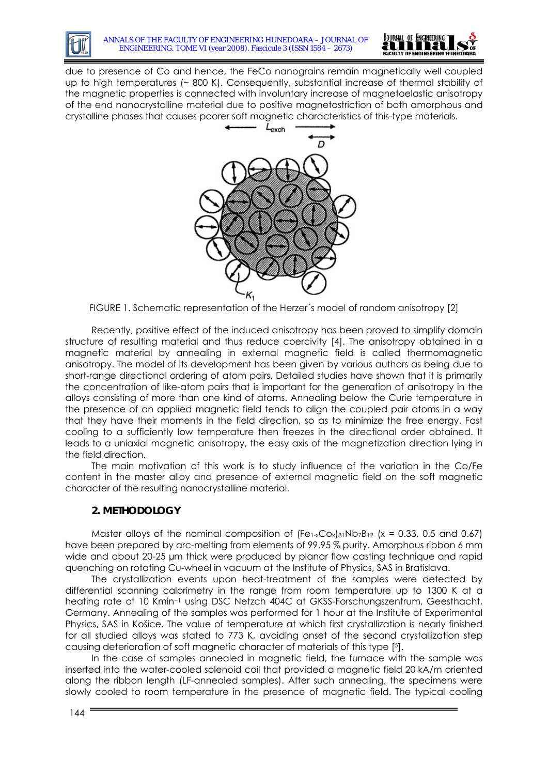



due to presence of Co and hence, the FeCo nanograins remain magnetically well coupled up to high temperatures (~ 800 K). Consequently, substantial increase of thermal stability of the magnetic properties is connected with involuntary increase of magnetoelastic anisotropy of the end nanocrystalline material due to positive magnetostriction of both amorphous and crystalline phases that causes poorer soft magnetic characteristics of this-type materials.



FIGURE 1. Schematic representation of the Herzer´s model of random anisotropy [2]

Recently, positive effect of the induced anisotropy has been proved to simplify domain structure of resulting material and thus reduce coercivity [4]. The anisotropy obtained in a magnetic material by annealing in external magnetic field is called thermomagnetic anisotropy. The model of its development has been given by various authors as being due to short-range directional ordering of atom pairs. Detailed studies have shown that it is primarily the concentration of like-atom pairs that is important for the generation of anisotropy in the alloys consisting of more than one kind of atoms. Annealing below the Curie temperature in the presence of an applied magnetic field tends to align the coupled pair atoms in a way that they have their moments in the field direction, so as to minimize the free energy. Fast cooling to a sufficiently low temperature then freezes in the directional order obtained. It leads to a uniaxial magnetic anisotropy, the easy axis of the magnetization direction lying in the field direction.

 The main motivation of this work is to study influence of the variation in the Co/Fe content in the master alloy and presence of external magnetic field on the soft magnetic character of the resulting nanocrystalline material.

### **2. METHODOLOGY**

Master alloys of the nominal composition of  $[Fe<sub>1-x</sub>Co<sub>x</sub>]<sub>81</sub>Nb<sub>7</sub>B<sub>12</sub>$  (x = 0.33, 0.5 and 0.67) have been prepared by arc-melting from elements of 99.95 % purity. Amorphous ribbon 6 mm wide and about 20-25 µm thick were produced by planar flow casting technique and rapid quenching on rotating Cu-wheel in vacuum at the Institute of Physics, SAS in Bratislava.

 The crystallization events upon heat-treatment of the samples were detected by differential scanning calorimetry in the range from room temperature up to 1300 K at a heating rate of 10 Kmin−1 using DSC Netzch 404C at GKSS-Forschungszentrum, Geesthacht, Germany. Annealing of the samples was performed for 1 hour at the Institute of Experimental Physics, SAS in Košice. The value of temperature at which first crystallization is nearly finished for all studied alloys was stated to 773 K, avoiding onset of the second crystallization step causing deterioration of soft magnetic character of materials of this type [5].

 In the case of samples annealed in magnetic field, the furnace with the sample was inserted into the water-cooled solenoid coil that provided a magnetic field 20 kA/m oriented along the ribbon length (LF-annealed samples). After such annealing, the specimens were slowly cooled to room temperature in the presence of magnetic field. The typical cooling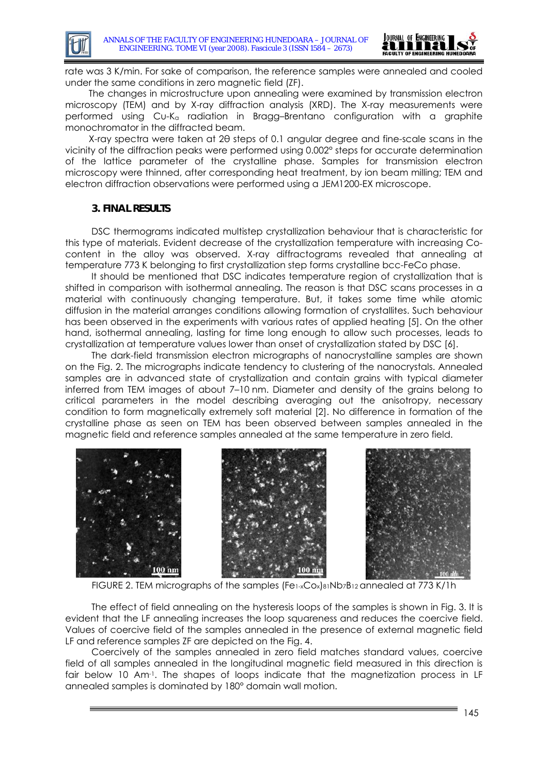

rate was 3 K/min. For sake of comparison, the reference samples were annealed and cooled under the same conditions in zero magnetic field (ZF).

The changes in microstructure upon annealing were examined by transmission electron microscopy (TEM) and by X-ray diffraction analysis (XRD). The X-ray measurements were performed using Cu-Kα radiation in Bragg–Brentano configuration with a graphite monochromator in the diffracted beam.

X-ray spectra were taken at 2θ steps of 0.1 angular degree and fine-scale scans in the vicinity of the diffraction peaks were performed using 0.002° steps for accurate determination of the lattice parameter of the crystalline phase. Samples for transmission electron microscopy were thinned, after corresponding heat treatment, by ion beam milling; TEM and electron diffraction observations were performed using a JEM1200-EX microscope.

### **3. FINAL RESULTS**

DSC thermograms indicated multistep crystallization behaviour that is characteristic for this type of materials. Evident decrease of the crystallization temperature with increasing Cocontent in the alloy was observed. X-ray diffractograms revealed that annealing at temperature 773 K belonging to first crystallization step forms crystalline bcc-FeCo phase.

It should be mentioned that DSC indicates temperature region of crystallization that is shifted in comparison with isothermal annealing. The reason is that DSC scans processes in a material with continuously changing temperature. But, it takes some time while atomic diffusion in the material arranges conditions allowing formation of crystallites. Such behaviour has been observed in the experiments with various rates of applied heating [5]. On the other hand, isothermal annealing, lasting for time long enough to allow such processes, leads to crystallization at temperature values lower than onset of crystallization stated by DSC [6].

 The dark-field transmission electron micrographs of nanocrystalline samples are shown on the Fig. 2. The micrographs indicate tendency to clustering of the nanocrystals. Annealed samples are in advanced state of crystallization and contain grains with typical diameter inferred from TEM images of about 7–10 nm. Diameter and density of the grains belong to critical parameters in the model describing averaging out the anisotropy, necessary condition to form magnetically extremely soft material [2]. No difference in formation of the crystalline phase as seen on TEM has been observed between samples annealed in the magnetic field and reference samples annealed at the same temperature in zero field.



FIGURE 2. TEM micrographs of the samples (Fe1-xCox)81Nb7B12 annealed at 773 K/1h

The effect of field annealing on the hysteresis loops of the samples is shown in Fig. 3. It is evident that the LF annealing increases the loop squareness and reduces the coercive field. Values of coercive field of the samples annealed in the presence of external magnetic field LF and reference samples ZF are depicted on the Fig. 4.

Coercively of the samples annealed in zero field matches standard values, coercive field of all samples annealed in the longitudinal magnetic field measured in this direction is fair below 10 Am<sup>-1</sup>. The shapes of loops indicate that the magnetization process in LF annealed samples is dominated by 180° domain wall motion.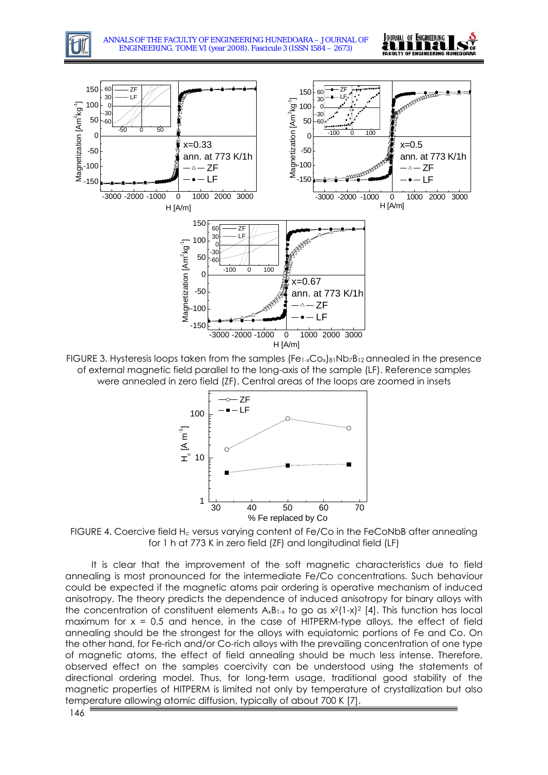



FIGURE 3. Hysteresis loops taken from the samples (Fe1-xCox)81Nb7B12 annealed in the presence of external magnetic field parallel to the long-axis of the sample (LF). Reference samples were annealed in zero field (ZF). Central areas of the loops are zoomed in insets





It is clear that the improvement of the soft magnetic characteristics due to field annealing is most pronounced for the intermediate Fe/Co concentrations. Such behaviour could be expected if the magnetic atoms pair ordering is operative mechanism of induced anisotropy. The theory predicts the dependence of induced anisotropy for binary alloys with the concentration of constituent elements  $A_xB_{1-x}$  to go as  $x^2(1-x)^2$  [4]. This function has local maximum for  $x = 0.5$  and hence, in the case of HITPERM-type alloys, the effect of field annealing should be the strongest for the alloys with equiatomic portions of Fe and Co. On the other hand, for Fe-rich and/or Co-rich alloys with the prevailing concentration of one type of magnetic atoms, the effect of field annealing should be much less intense. Therefore, observed effect on the samples coercivity can be understood using the statements of directional ordering model. Thus, for long-term usage, traditional good stability of the magnetic properties of HITPERM is limited not only by temperature of crystallization but also temperature allowing atomic diffusion, typically of about 700 K [7].